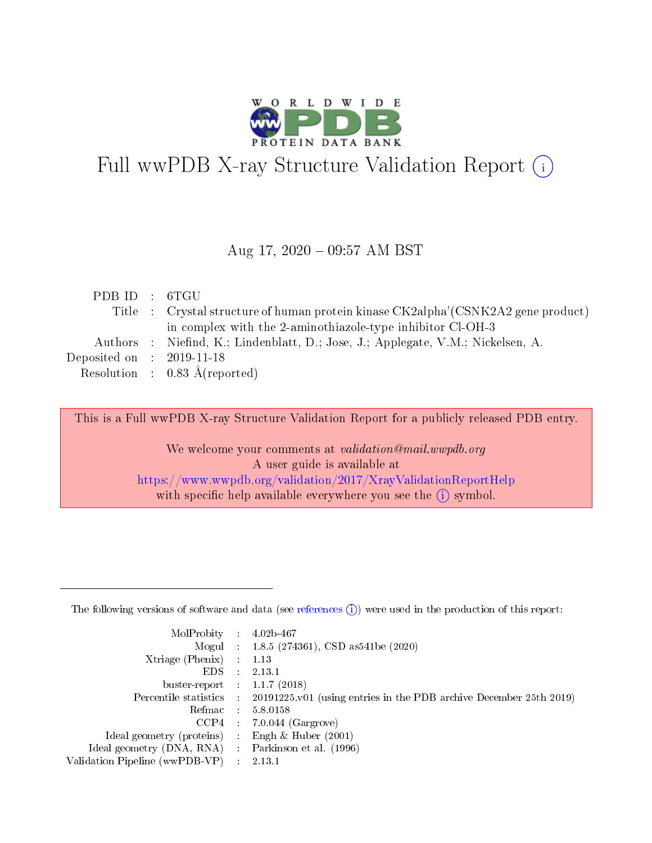

# Full wwPDB X-ray Structure Validation Report (i)

#### Aug 17, 2020 - 09:57 AM BST

| PDBID : 6TGU                         |                                                                                   |
|--------------------------------------|-----------------------------------------------------------------------------------|
|                                      | Title : Crystal structure of human protein kinase CK2alpha'(CSNK2A2 gene product) |
|                                      | in complex with the 2-aminothiazole-type inhibitor Cl-OH-3                        |
|                                      | Authors : Niefind, K.; Lindenblatt, D.; Jose, J.; Applegate, V.M.; Nickelsen, A.  |
| Deposited on $\therefore$ 2019-11-18 |                                                                                   |
|                                      | Resolution : $0.83 \text{ Å}$ (reported)                                          |

This is a Full wwPDB X-ray Structure Validation Report for a publicly released PDB entry.

We welcome your comments at validation@mail.wwpdb.org A user guide is available at <https://www.wwpdb.org/validation/2017/XrayValidationReportHelp> with specific help available everywhere you see the  $(i)$  symbol.

The following versions of software and data (see [references](https://www.wwpdb.org/validation/2017/XrayValidationReportHelp#references)  $(1)$ ) were used in the production of this report:

| MolProbity                     | $\mathcal{L}_{\mathrm{eff}}$ | $4.02b - 467$                                                      |
|--------------------------------|------------------------------|--------------------------------------------------------------------|
|                                |                              | Mogul : $1.8.5$ (274361), CSD as 541be (2020)                      |
| $X$ triage (Phenix) :          |                              | 1.13                                                               |
| EDS.                           |                              | 2.13.1                                                             |
| buster-report : $1.1.7$ (2018) |                              |                                                                    |
| Percentile statistics :        |                              | 20191225.v01 (using entries in the PDB archive December 25th 2019) |
| Refmac                         |                              | 5.8.0158                                                           |
| CCP4                           |                              | $7.0.044$ (Gargrove)                                               |
| Ideal geometry (proteins) :    |                              | Engh $\&$ Huber (2001)                                             |
| Ideal geometry (DNA, RNA) :    |                              | Parkinson et al. (1996)                                            |
| Validation Pipeline (wwPDB-VP) |                              | 2.13.1                                                             |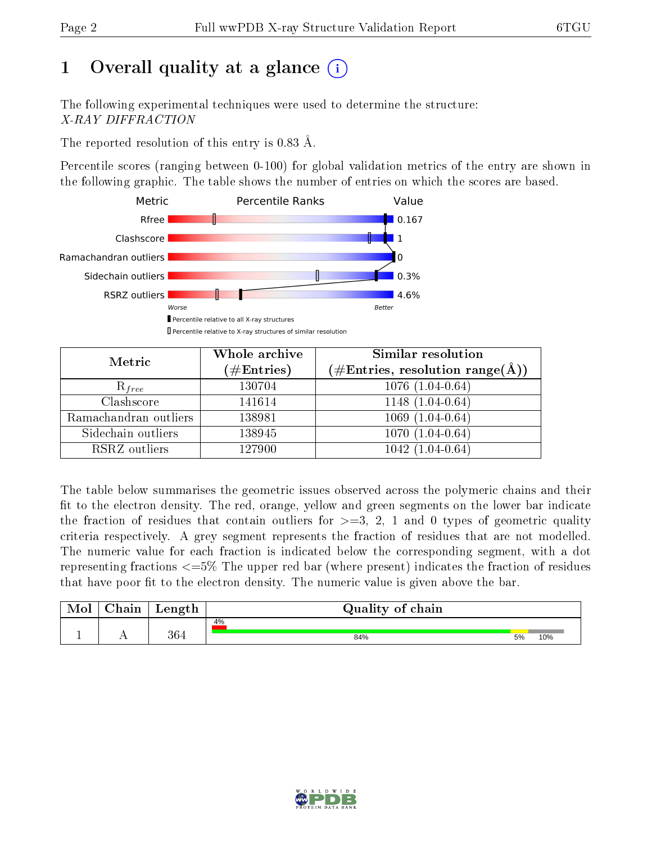# 1 [O](https://www.wwpdb.org/validation/2017/XrayValidationReportHelp#overall_quality)verall quality at a glance  $(i)$

The following experimental techniques were used to determine the structure: X-RAY DIFFRACTION

The reported resolution of this entry is 0.83 Å.

Percentile scores (ranging between 0-100) for global validation metrics of the entry are shown in the following graphic. The table shows the number of entries on which the scores are based.



| Metric                | Whole archive       | Similar resolution                                                        |
|-----------------------|---------------------|---------------------------------------------------------------------------|
|                       | (# $\rm{Entries}$ ) | $(\#\text{Entries},\,\text{resolution}\,\,\text{range}(\textup{\AA})\, )$ |
| $R_{free}$            | 130704              | $1076(1.04-0.64)$                                                         |
| Clashscore            | 141614              | $1148(1.04-0.64)$                                                         |
| Ramachandran outliers | 138981              | $1069(1.04-0.64)$                                                         |
| Sidechain outliers    | 138945              | $1070(1.04-0.64)$                                                         |
| RSRZ outliers         | 127900              | $1042(1.04-0.64)$                                                         |

The table below summarises the geometric issues observed across the polymeric chains and their fit to the electron density. The red, orange, yellow and green segments on the lower bar indicate the fraction of residues that contain outliers for  $>=3, 2, 1$  and 0 types of geometric quality criteria respectively. A grey segment represents the fraction of residues that are not modelled. The numeric value for each fraction is indicated below the corresponding segment, with a dot representing fractions  $\epsilon=5\%$  The upper red bar (where present) indicates the fraction of residues that have poor fit to the electron density. The numeric value is given above the bar.

| Mol       | hain       | Length | Quality of chain |    |     |
|-----------|------------|--------|------------------|----|-----|
|           |            |        | 4%               |    |     |
| <u>д.</u> | <u>. .</u> | 364    | 84%              | 5% | 10% |

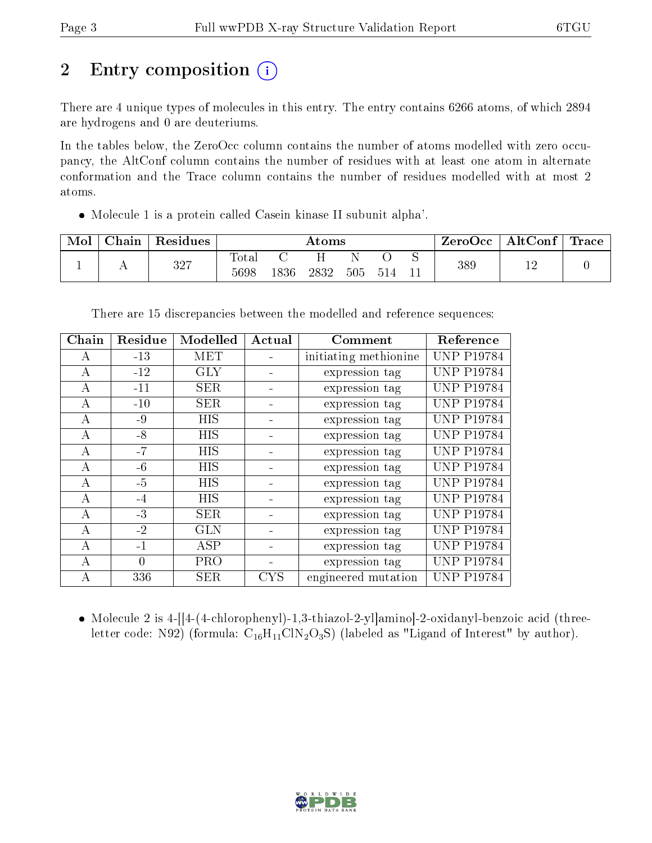# 2 Entry composition  $\left( \cdot \right)$

There are 4 unique types of molecules in this entry. The entry contains 6266 atoms, of which 2894 are hydrogens and 0 are deuteriums.

In the tables below, the ZeroOcc column contains the number of atoms modelled with zero occupancy, the AltConf column contains the number of residues with at least one atom in alternate conformation and the Trace column contains the number of residues modelled with at most 2 atoms.

Molecule 1 is a protein called Casein kinase II subunit alpha'.

| Mol | Chain | Residues |                     | $\rm{Atoms}$ |      |     |     | ZeroOcc | $\mathbf{AltConf} \mid \mathbf{Trace} \mid$ |           |  |
|-----|-------|----------|---------------------|--------------|------|-----|-----|---------|---------------------------------------------|-----------|--|
|     |       | 327      | $\rm Total$<br>5698 | 1836         | 2832 | 505 | 514 |         | 389                                         | 1 ຕ<br>∸∸ |  |

There are 15 discrepancies between the modelled and reference sequences:

| Chain | Residue  | Modelled   | Actual     | Comment               | Reference         |
|-------|----------|------------|------------|-----------------------|-------------------|
| A     | $-13$    | <b>MET</b> |            | initiating methionine | <b>UNP P19784</b> |
| А     | $-12$    | <b>GLY</b> |            | expression tag        | <b>UNP P19784</b> |
| A     | $-11$    | <b>SER</b> |            | expression tag        | <b>UNP P19784</b> |
| А     | $-10$    | <b>SER</b> |            | expression tag        | <b>UNP P19784</b> |
| А     | $-9$     | HIS        |            | expression tag        | <b>UNP P19784</b> |
| A     | $-8$     | HIS        |            | expression tag        | <b>UNP P19784</b> |
| А     | $-7$     | HIS        |            | expression tag        | <b>UNP P19784</b> |
| А     | $-6$     | HIS        |            | expression tag        | <b>UNP P19784</b> |
| A     | $-5$     | <b>HIS</b> |            | expression tag        | <b>UNP P19784</b> |
| А     | $-4$     | <b>HIS</b> |            | expression tag        | <b>UNP P19784</b> |
| А     | $-3$     | <b>SER</b> |            | expression tag        | <b>UNP P19784</b> |
| A     | $-2$     | <b>GLN</b> |            | expression tag        | <b>UNP P19784</b> |
| А     | $-1$     | <b>ASP</b> |            | expression tag        | <b>UNP P19784</b> |
| A     | $\theta$ | <b>PRO</b> |            | expression tag        | <b>UNP P19784</b> |
| А     | 336      | <b>SER</b> | <b>CYS</b> | engineered mutation   | <b>UNP P19784</b> |

• Molecule 2 is 4-[[4-(4-chlorophenyl)-1,3-thiazol-2-yl]amino]-2-oxidanyl-benzoic acid (threeletter code: N92) (formula:  $C_{16}H_{11}CIN_2O_3S$ ) (labeled as "Ligand of Interest" by author).

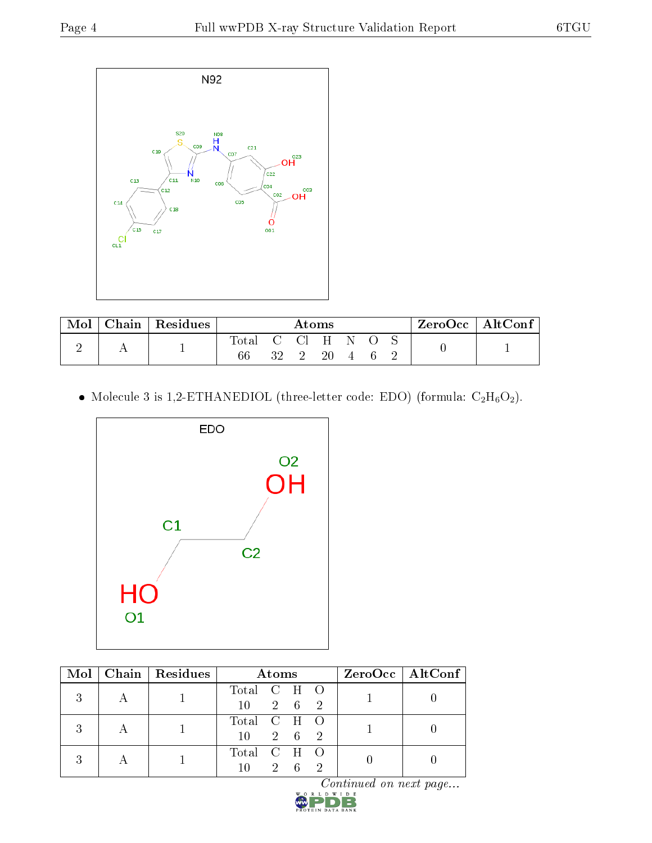

| Mol | 7hain∣ | $\mid$ Residues |                    |    | $\rm{Atoms}$   |         |  | ZeroOcc∣ | $\rm AltConf$ |
|-----|--------|-----------------|--------------------|----|----------------|---------|--|----------|---------------|
|     |        |                 | <b>Total</b><br>66 | 32 | $\bigcap$<br>ി | Η<br>20 |  |          |               |

 $\bullet\,$  Molecule 3 is 1,2-ETHANEDIOL (three-letter code: EDO) (formula:  $\rm{C_2H_6O_2}).$ 



| Mol | $Chain   Residues$ | <b>Atoms</b>    |  |                 |          | $ZeroOcc \   \$ AltConf |  |
|-----|--------------------|-----------------|--|-----------------|----------|-------------------------|--|
| 2   |                    | Total C H O     |  |                 |          |                         |  |
|     |                    | 10 <sup>°</sup> |  | 2 6 2           |          |                         |  |
|     |                    | Total C H O     |  |                 |          |                         |  |
|     |                    | 10 <sup>°</sup> |  | 2 6 2           |          |                         |  |
|     |                    | Total C H O     |  |                 |          |                         |  |
|     |                    | 10              |  | $2\overline{6}$ | $\Omega$ |                         |  |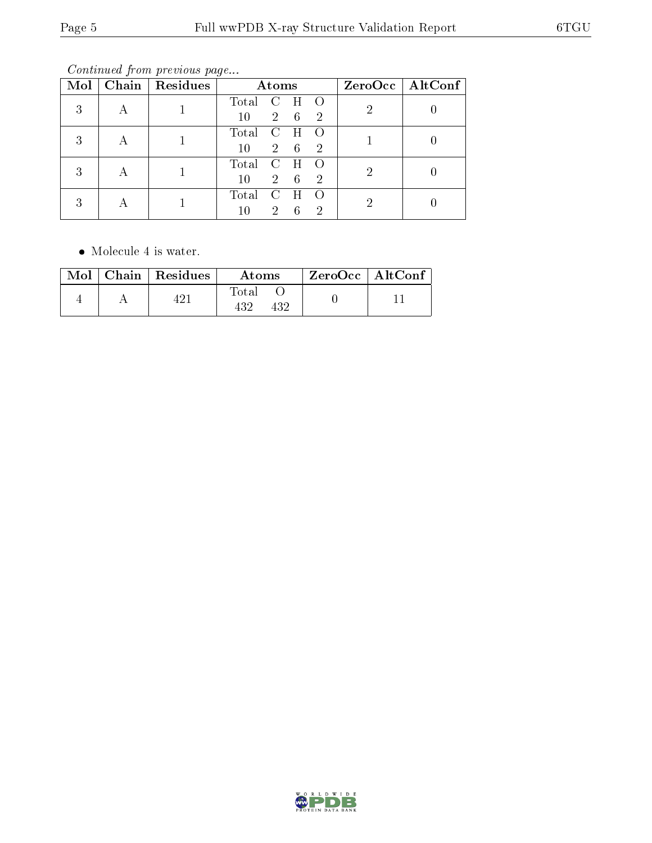Continued from previous page...

| Mol | Chain   $Residues$ |        | Atoms       |   |                |   | $ZeroOcc \   \ AltConf$ |
|-----|--------------------|--------|-------------|---|----------------|---|-------------------------|
| 3   |                    | Total  | C           | H | $\left($       | ച |                         |
|     |                    | 10     | $2^{\circ}$ | 6 | -2             |   |                         |
| 3   |                    | Total  |             | H |                |   |                         |
|     |                    | 10     | $2^{\circ}$ | 6 | $\overline{2}$ |   |                         |
| 3   |                    | Total  | C           | H |                |   |                         |
|     |                    | 10     | $2^{\circ}$ | 6 | 2              |   |                         |
| 3   |                    | Total  |             | H |                | 2 |                         |
|     |                    | $10\,$ | $2^{\circ}$ | 6 | 2              |   |                         |

• Molecule 4 is water.

|  | $\text{Mol}$   Chain   Residues | Atoms        | $^\shortparallel$ ZeroOcc $\mid$ AltConf $\mid$ |  |
|--|---------------------------------|--------------|-------------------------------------------------|--|
|  |                                 | Total<br>432 |                                                 |  |

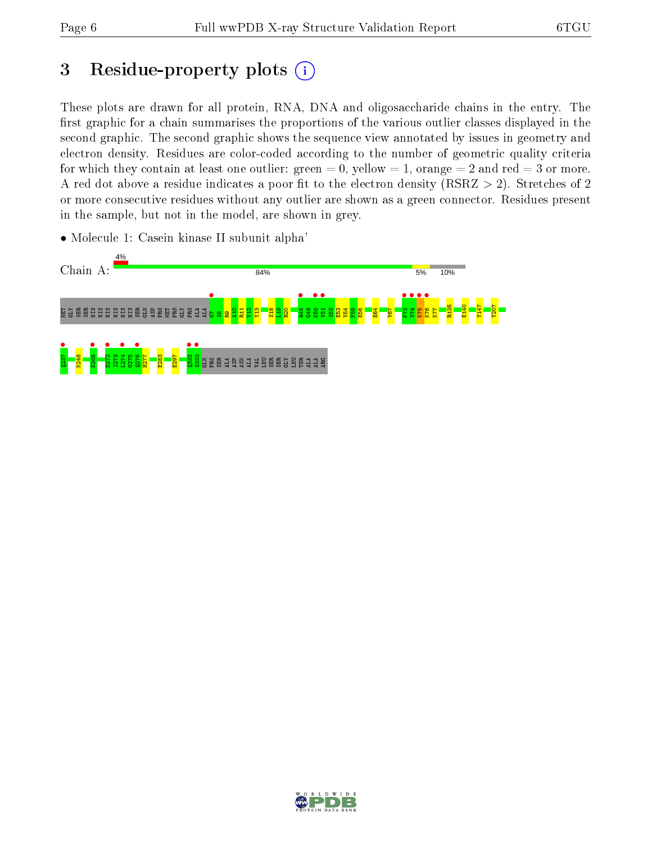# 3 Residue-property plots  $(i)$

These plots are drawn for all protein, RNA, DNA and oligosaccharide chains in the entry. The first graphic for a chain summarises the proportions of the various outlier classes displayed in the second graphic. The second graphic shows the sequence view annotated by issues in geometry and electron density. Residues are color-coded according to the number of geometric quality criteria for which they contain at least one outlier: green  $= 0$ , yellow  $= 1$ , orange  $= 2$  and red  $= 3$  or more. A red dot above a residue indicates a poor fit to the electron density ( $RSRZ > 2$ ). Stretches of 2 or more consecutive residues without any outlier are shown as a green connector. Residues present in the sample, but not in the model, are shown in grey.

• Molecule 1: Casein kinase II subunit alpha'



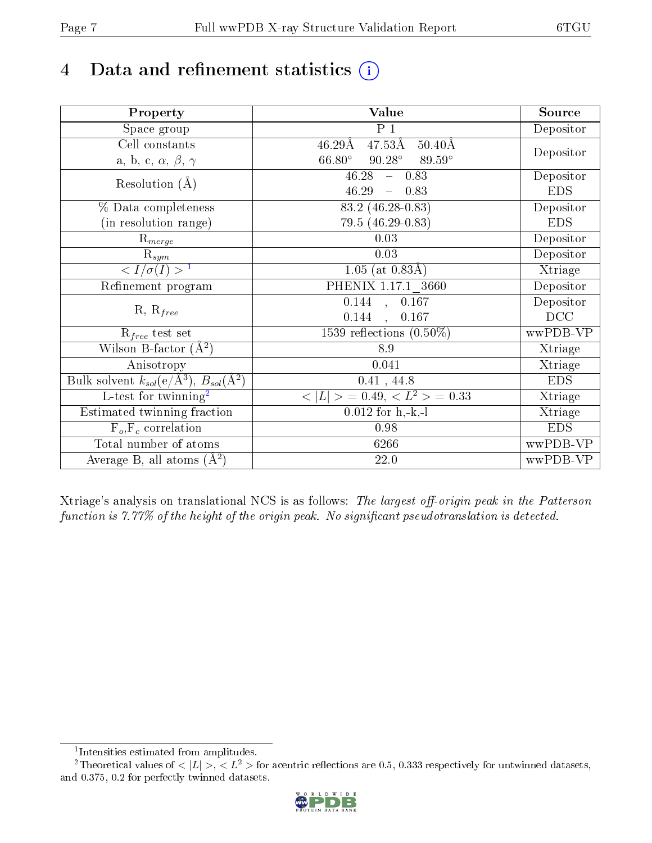# 4 Data and refinement statistics  $(i)$

| Property                                                             | Value                                                       | Source     |
|----------------------------------------------------------------------|-------------------------------------------------------------|------------|
| $\overline{\text{Space}}$ group                                      | $P_1$                                                       | Depositor  |
| Cell constants                                                       | $47.53\text{\AA}$<br>$50.40\text{\AA}$<br>$46.29\text{\AA}$ |            |
| a, b, c, $\alpha$ , $\beta$ , $\gamma$                               | $90.28^\circ$<br>$66.80^\circ$<br>89.59°                    | Depositor  |
| Resolution $(A)$                                                     | 46.28<br>$-0.83$                                            | Depositor  |
|                                                                      | 46.29<br>$-0.83$                                            | <b>EDS</b> |
| % Data completeness                                                  | $83.2(46.28-0.83)$                                          | Depositor  |
| (in resolution range)                                                | 79.5 (46.29-0.83)                                           | <b>EDS</b> |
| $R_{merge}$                                                          | 0.03                                                        | Depositor  |
| $\mathrm{R}_{sym}$                                                   | 0.03                                                        | Depositor  |
| $\langle I/\sigma(I) \rangle$ <sup>1</sup>                           | $1.05$ (at $0.83\AA$ )                                      | Xtriage    |
| Refinement program                                                   | PHENIX 1.17.1 3660                                          | Depositor  |
|                                                                      | 0.144, 0.167                                                | Depositor  |
| $R, R_{free}$                                                        | 0.144<br>0.167<br>$\mathcal{L}$                             | DCC        |
| $R_{free}$ test set                                                  | 1539 reflections $(0.50\%)$                                 | wwPDB-VP   |
| Wilson B-factor $(A^2)$                                              | 8.9                                                         | Xtriage    |
| Anisotropy                                                           | 0.041                                                       | Xtriage    |
| Bulk solvent $k_{sol}(e/\mathring{A}^3)$ , $B_{sol}(\mathring{A}^2)$ | 0.41, 44.8                                                  | <b>EDS</b> |
| L-test for twinning <sup>2</sup>                                     | $< L >$ = 0.49, $< L2$ = 0.33                               | Xtriage    |
| Estimated twinning fraction                                          | $0.012$ for $h,-k,-l$                                       | Xtriage    |
| $F_o, F_c$ correlation                                               | 0.98                                                        | <b>EDS</b> |
| Total number of atoms                                                | 6266                                                        | wwPDB-VP   |
| Average B, all atoms $(A^2)$                                         | 22.0                                                        | wwPDB-VP   |

Xtriage's analysis on translational NCS is as follows: The largest off-origin peak in the Patterson function is  $7.77\%$  of the height of the origin peak. No significant pseudotranslation is detected.

<sup>&</sup>lt;sup>2</sup>Theoretical values of  $\langle |L| \rangle$ ,  $\langle L^2 \rangle$  for acentric reflections are 0.5, 0.333 respectively for untwinned datasets, and 0.375, 0.2 for perfectly twinned datasets.



<span id="page-6-1"></span><span id="page-6-0"></span><sup>1</sup> Intensities estimated from amplitudes.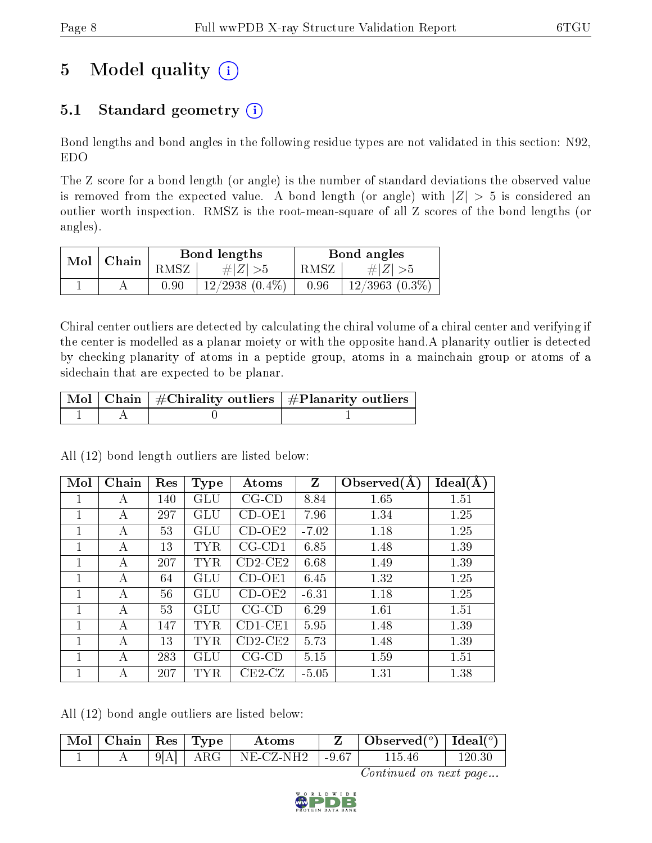# 5 Model quality  $(i)$

### 5.1 Standard geometry  $(i)$

Bond lengths and bond angles in the following residue types are not validated in this section: N92, EDO

The Z score for a bond length (or angle) is the number of standard deviations the observed value is removed from the expected value. A bond length (or angle) with  $|Z| > 5$  is considered an outlier worth inspection. RMSZ is the root-mean-square of all Z scores of the bond lengths (or angles).

| $Mol$   Chain |      | Bond lengths        | Bond angles |                  |  |
|---------------|------|---------------------|-------------|------------------|--|
|               | RMSZ | $\# Z  > 5$         | RMSZ        | # $ Z  > 5$      |  |
|               | 0.90 | $12/2938$ $(0.4\%)$ | 0.96        | $12/3963(0.3\%)$ |  |

Chiral center outliers are detected by calculating the chiral volume of a chiral center and verifying if the center is modelled as a planar moiety or with the opposite hand.A planarity outlier is detected by checking planarity of atoms in a peptide group, atoms in a mainchain group or atoms of a sidechain that are expected to be planar.

|  | $\mid$ Mol $\mid$ Chain $\mid$ #Chirality outliers $\mid$ #Planarity outliers $\mid$ |  |  |
|--|--------------------------------------------------------------------------------------|--|--|
|  |                                                                                      |  |  |

All (12) bond length outliers are listed below:

| Mol | Chain | Res | Type       | Atoms        | Z       | Observed $(A)$ | Ideal(A) |
|-----|-------|-----|------------|--------------|---------|----------------|----------|
|     | А     | 140 | GLU        | $CG$ - $CD$  | 8.84    | 1.65           | 1.51     |
| 1   | А     | 297 | GLU        | $CD-OE1$     | 7.96    | 1.34           | 1.25     |
| 1   | А     | 53  | GLU        | $CD-OE2$     | $-7.02$ | 1.18           | 1.25     |
|     | А     | 13  | TYR        | $CG$ - $CD1$ | 6.85    | 1.48           | 1.39     |
|     | А     | 207 | <b>TYR</b> | $CD2-CE2$    | 6.68    | 1.49           | 1.39     |
|     | А     | 64  | GLU        | CD-OE1       | 6.45    | 1.32           | 1.25     |
| 1   | А     | 56  | GLU        | $CD-OE2$     | $-6.31$ | 1.18           | 1.25     |
| 1   | A     | 53  | <b>GLU</b> | $CG-CD$      | 6.29    | 1.61           | 1.51     |
| 1   | А     | 147 | <b>TYR</b> | $CD1$ -CE1   | 5.95    | 1.48           | 1.39     |
| 1   | A     | 13  | <b>TYR</b> | $CD2-CE2$    | 5.73    | 1.48           | 1.39     |
|     | А     | 283 | GLU        | $CG-CD$      | 5.15    | 1.59           | 1.51     |
| 1   | A     | 207 | TYR        | $CE2-CZ$     | $-5.05$ | 1.31           | 1.38     |

All (12) bond angle outliers are listed below:

| $\mid$ Mol $\mid$ Chain $\mid$ Res $\mid$ Type $\mid$ |              | Atoms       |         | Observed( $^{\circ}$ )   Ideal( $^{\circ}$ ) |         |
|-------------------------------------------------------|--------------|-------------|---------|----------------------------------------------|---------|
|                                                       | $9[A]$   ARG | $NE-CZ-NH2$ | $-9.67$ | 115 46                                       | l 20-30 |

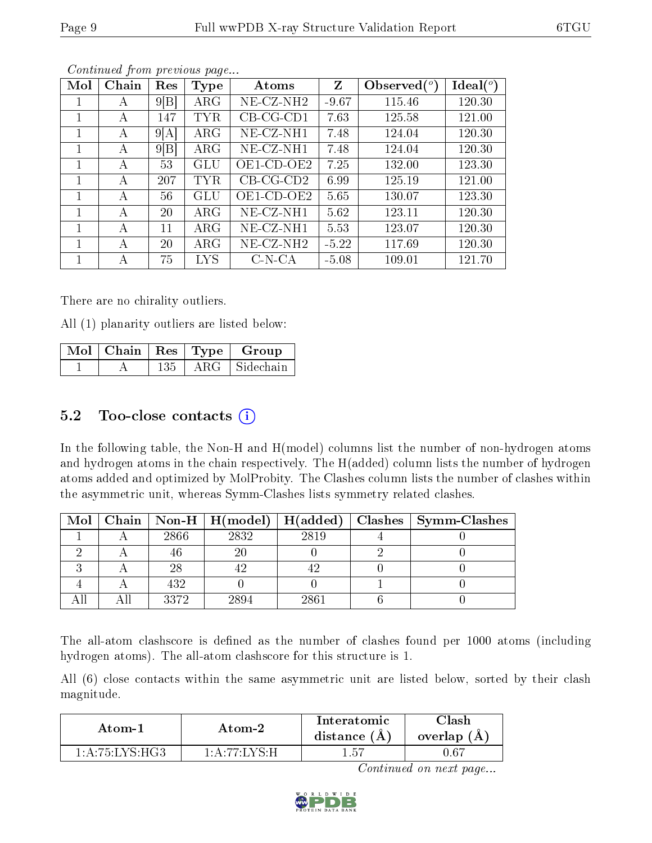| Mol | Chain | Res  | Type       | Atoms        | Z       | Observed $(°)$ | Ideal $(°)$ |
|-----|-------|------|------------|--------------|---------|----------------|-------------|
|     | А     | 9 B  | $\rm{ARG}$ | $NE- CZ-NH2$ | $-9.67$ | 115.46         | 120.30      |
|     | А     | 147  | TYR        | $CB-CG-CD1$  | 7.63    | 125.58         | 121.00      |
|     | А     | 9 A  | $\rm{ARG}$ | $NE-CZ-NH1$  | 7.48    | 124.04         | 120.30      |
|     | А     | 9[B] | $\rm{ARG}$ | NE-CZ-NH1    | 7.48    | 124.04         | 120.30      |
|     | А     | 53   | GLU        | OE1-CD-OE2   | 7.25    | 132.00         | 123.30      |
|     | А     | 207  | TYR        | $CB-CG-CD2$  | 6.99    | 125.19         | 121.00      |
|     | A     | 56   | <b>GLU</b> | OE1-CD-OE2   | 5.65    | 130.07         | 123.30      |
|     | A     | 20   | $\rm{ARG}$ | $NE-CZ-NH1$  | 5.62    | 123.11         | 120.30      |
|     | А     | 11   | $\rm{ARG}$ | $NE-CZ-NH1$  | 5.53    | 123.07         | 120.30      |
|     | А     | 20   | $\rm{ARG}$ | $NE- CZ-NH2$ | $-5.22$ | 117.69         | 120.30      |
|     | А     | 75   | <b>LYS</b> | $C- N- C A$  | $-5.08$ | 109.01         | 121.70      |

Continued from previous page...

There are no chirality outliers.

All (1) planarity outliers are listed below:

|  |     | $\vert$ Mol $\vert$ Chain $\vert$ Res $\vert$ Type $\vert$ Group |
|--|-----|------------------------------------------------------------------|
|  | 135 | ARG Sidechain                                                    |

#### 5.2 Too-close contacts  $(i)$

In the following table, the Non-H and H(model) columns list the number of non-hydrogen atoms and hydrogen atoms in the chain respectively. The H(added) column lists the number of hydrogen atoms added and optimized by MolProbity. The Clashes column lists the number of clashes within the asymmetric unit, whereas Symm-Clashes lists symmetry related clashes.

|  |      | Mol   Chain   Non-H   $H (model)$ | H(added) | $\mid$ Clashes $\mid$ Symm-Clashes |
|--|------|-----------------------------------|----------|------------------------------------|
|  | 2866 | 2832                              | 2819     |                                    |
|  |      | 20                                |          |                                    |
|  | 28   |                                   |          |                                    |
|  | 432  |                                   |          |                                    |
|  | 3372 | 2894                              | 2861     |                                    |

The all-atom clashscore is defined as the number of clashes found per 1000 atoms (including hydrogen atoms). The all-atom clashscore for this structure is 1.

All (6) close contacts within the same asymmetric unit are listed below, sorted by their clash magnitude.

| Atom-1                                           | Atom-2                | Interatomic<br>distance $(A)$ | <b>Tlash</b><br>overlap $(A)$ |
|--------------------------------------------------|-----------------------|-------------------------------|-------------------------------|
| $1 \cdot A \cdot 75 \cdot I \cdot YS \cdot H G3$ | 1 . A .77 . I V S . H | 1.57                          | 1.6 <sup>-</sup>              |

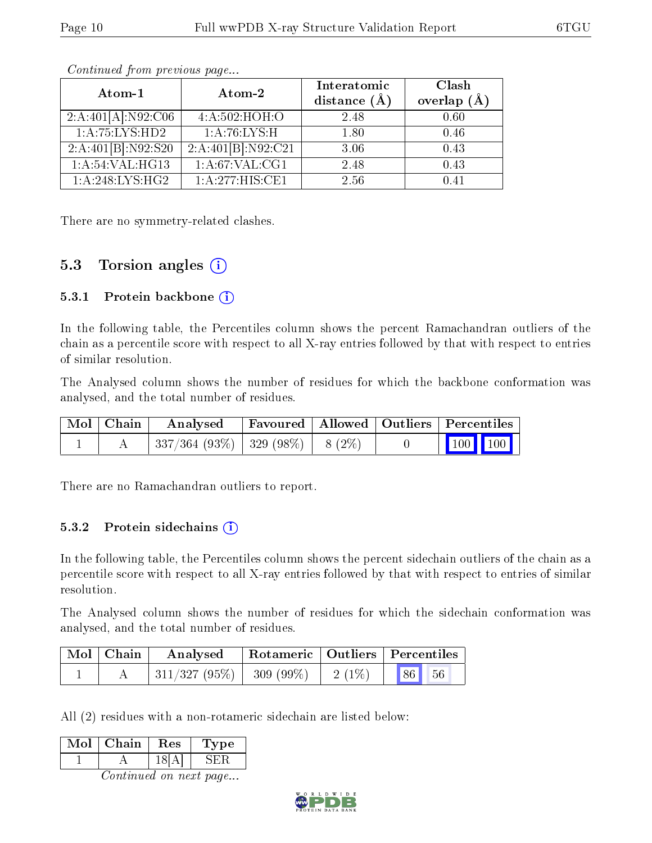| Atom-1                         | Atom-2                      | Interatomic<br>distance $(\AA)$ | Clash<br>overlap $(A)$ |
|--------------------------------|-----------------------------|---------------------------------|------------------------|
| 2:A:401[A]:N92:C <sub>06</sub> | 4:A:502:HOH:O               | 2.48                            | 0.60                   |
| 1: A:75:LYS:HD2                | 1: A:76:LYS:H               | 1.80                            | 0.46                   |
| 2:A:401[B]:N92:S20             | 2:A:401[B]:N92:C21          | 3.06                            | 0.43                   |
| $1:\overline{A:54:VAL:HG13}$   | $1:\overline{A:67:VAL:CG1}$ | 2.48                            | 0.43                   |
| 1:A:248:LYS:HG2                | 1:A:277:HIS:CE1             | 2.56                            | በ 41                   |

Continued from previous page...

There are no symmetry-related clashes.

#### 5.3 Torsion angles  $(i)$

#### 5.3.1 Protein backbone  $(i)$

In the following table, the Percentiles column shows the percent Ramachandran outliers of the chain as a percentile score with respect to all X-ray entries followed by that with respect to entries of similar resolution.

The Analysed column shows the number of residues for which the backbone conformation was analysed, and the total number of residues.

| Mol   Chain | Analysed                             | Favoured   Allowed   Outliers   Percentiles |  |         |  |
|-------------|--------------------------------------|---------------------------------------------|--|---------|--|
|             | $337/364$ (93%)   329 (98%)   8 (2%) |                                             |  | 100 100 |  |

There are no Ramachandran outliers to report.

#### 5.3.2 Protein sidechains (i)

In the following table, the Percentiles column shows the percent sidechain outliers of the chain as a percentile score with respect to all X-ray entries followed by that with respect to entries of similar resolution.

The Analysed column shows the number of residues for which the sidechain conformation was analysed, and the total number of residues.

| $\mid$ Mol $\mid$ Chain | Analysed                                                    |  | Rotameric   Outliers   Percentiles |
|-------------------------|-------------------------------------------------------------|--|------------------------------------|
|                         | $\mid 311/327 \; (95\%) \mid 309 \; (99\%) \mid 2 \; (1\%)$ |  | $\blacksquare$ 86<br> 56           |

All (2) residues with a non-rotameric sidechain are listed below:

| Mol | Chain | Res | /pe |
|-----|-------|-----|-----|
|     |       |     | ∶H` |
|     |       |     |     |

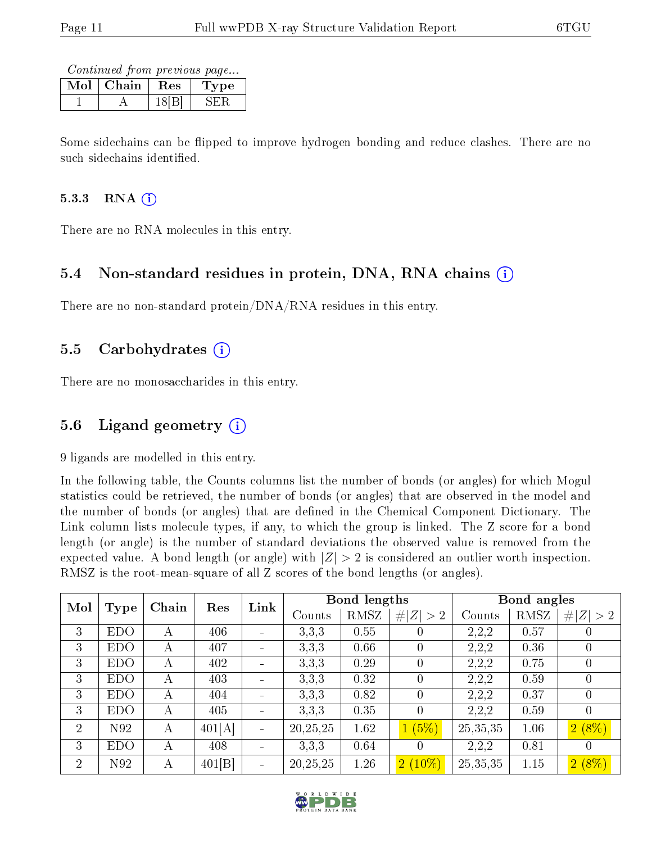Continued from previous page...

| Mol | Chain | $\rm\, Res$ | pe |
|-----|-------|-------------|----|
|     |       |             |    |

Some sidechains can be flipped to improve hydrogen bonding and reduce clashes. There are no such sidechains identified.

#### 5.3.3 RNA $(i)$

There are no RNA molecules in this entry.

#### 5.4 Non-standard residues in protein, DNA, RNA chains (i)

There are no non-standard protein/DNA/RNA residues in this entry.

#### 5.5 Carbohydrates  $(i)$

There are no monosaccharides in this entry.

#### 5.6 Ligand geometry  $(i)$

9 ligands are modelled in this entry.

In the following table, the Counts columns list the number of bonds (or angles) for which Mogul statistics could be retrieved, the number of bonds (or angles) that are observed in the model and the number of bonds (or angles) that are defined in the Chemical Component Dictionary. The Link column lists molecule types, if any, to which the group is linked. The Z score for a bond length (or angle) is the number of standard deviations the observed value is removed from the expected value. A bond length (or angle) with  $|Z| > 2$  is considered an outlier worth inspection. RMSZ is the root-mean-square of all Z scores of the bond lengths (or angles).

| Mol            |            | Chain | Res    | Link |            | <b>Bond lengths</b> |             |            | Bond angles |                  |
|----------------|------------|-------|--------|------|------------|---------------------|-------------|------------|-------------|------------------|
|                | Type       |       |        |      | Counts     | RMSZ                | # $ Z  > 2$ | Counts     | RMSZ        | # $ Z  > 2$      |
| 3              | <b>EDO</b> | А     | 406    |      | 3,3,3      | 0.55                | 0           | 2,2,2      | 0.57        |                  |
| 3              | <b>EDO</b> | А     | 407    |      | 3,3,3      | 0.66                | 0           | 2,2,2      | 0.36        |                  |
| 3              | <b>EDO</b> | А     | 402    |      | 3,3,3      | 0.29                | $\theta$    | 2,2,2      | 0.75        | $\left( \right)$ |
| 3              | <b>EDO</b> | А     | 403    |      | 3,3,3      | 0.32                | 0           | 2,2,2      | 0.59        |                  |
| 3              | <b>EDO</b> | А     | 404    |      | 3,3,3      | 0.82                | 0           | 2,2,2      | 0.37        | $\theta$         |
| 3              | <b>EDO</b> | А     | 405    |      | 3,3,3      | 0.35                | 0           | 2,2,2      | 0.59        | $\theta$         |
| $\overline{2}$ | N92        | А     | 401[A] |      | 20, 25, 25 | 1.62                | 1(5%)       | 25,35,35   | 1.06        | $2(8\%)$         |
| 3              | <b>EDO</b> | А     | 408    |      | 3,3,3      | 0.64                | 0           | 2,2,2      | 0.81        | $\left( \right)$ |
| $\overline{2}$ | N92        | А     | 401[B] |      | 20, 25, 25 | 1.26                | $2(10\%)$   | 25, 35, 35 | 1.15        | $2(8\%)$         |

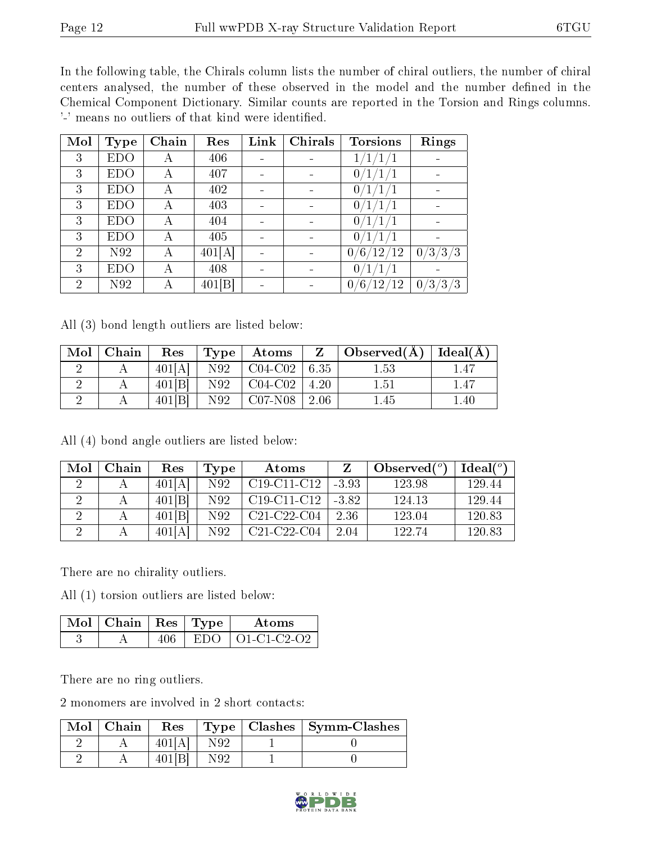In the following table, the Chirals column lists the number of chiral outliers, the number of chiral centers analysed, the number of these observed in the model and the number defined in the Chemical Component Dictionary. Similar counts are reported in the Torsion and Rings columns. '-' means no outliers of that kind were identified.

| Mol            | <b>Type</b> | Chain | Res    | Link | Chirals                  | <b>Torsions</b>                      | Rings                                    |
|----------------|-------------|-------|--------|------|--------------------------|--------------------------------------|------------------------------------------|
| 3              | EDO         | А     | 406    |      |                          | 1/                                   |                                          |
| 3              | EDO         | А     | 407    |      |                          | 0                                    |                                          |
| 3              | EDO         | А     | 402    |      |                          | 0                                    |                                          |
| 3              | EDO         | А     | 403    |      |                          |                                      |                                          |
| 3              | <b>EDO</b>  | А     | 404    |      |                          |                                      |                                          |
| 3              | EDO         | А     | 405    |      |                          | 0                                    |                                          |
| $\overline{2}$ | N92         | А     | 401[A] |      |                          | 0<br>12/<br>′12                      | /3/3<br>$^{\prime}3$ ,<br>0 <sub>1</sub> |
| 3              | EDO         | А     | 408    |      | $\overline{\phantom{0}}$ | 0                                    |                                          |
| $\overline{2}$ | N92         | А     | 401[B] |      |                          | $\overline{2}$<br>$^{\prime}12$<br>0 | $^{\prime}3/3$<br>΄3<br>$\overline{0}$   |

All (3) bond length outliers are listed below:

| Mol | Chain | Res    | $\pm$ Type $\pm$ | $\boldsymbol{\mathrm{Atoms}}$ | Z            | Observed( $\AA$ )   Ideal( $\AA$ ) |          |
|-----|-------|--------|------------------|-------------------------------|--------------|------------------------------------|----------|
|     |       | 401[A] | N92              | $CO4-C02$                     | $\vert 6.35$ | $1.53\,$                           |          |
|     |       | 401[B] | N92              | $\vert$ C04-C02 $\vert$ 4.20  |              | 1.51                               | 1.47     |
| ↵   |       | 401[B] | N92              | $\sim$ C07-N08                | 2.06         | l.45                               | $1.40\,$ |

All (4) bond angle outliers are listed below:

| Mol | Chain | Res        | Type | Atoms                                             |         | Observed $(^\circ)$ | Ideal $(^\circ)$ |
|-----|-------|------------|------|---------------------------------------------------|---------|---------------------|------------------|
|     |       | 401 A      | N92  | $C19-C11-C12$                                     | $-3.93$ | 123.98              | 129.44           |
|     |       | 401[B]     | N92  | C <sub>19</sub> -C <sub>11</sub> -C <sub>12</sub> | $-3.82$ | 124.13              | 129.44           |
|     |       | 401[B]     | N92  | $C21-C22-C04$                                     | 2.36    | 123.04              | 120.83           |
|     |       | 401I.<br>A | N92  | $C21-C22-C04$                                     | 2.04    | 122.74              | 120.83           |

There are no chirality outliers.

All (1) torsion outliers are listed below:

| $\mathbb{N}$ ol   Chain   Res   Type |      | Atoms                    |
|--------------------------------------|------|--------------------------|
|                                      | EDO. | $\overline{01-C1-C2-O2}$ |

There are no ring outliers.

2 monomers are involved in 2 short contacts:

| Mol | Chain | Res    |     | $Type   Classhes   Symm-Classes$ |
|-----|-------|--------|-----|----------------------------------|
|     |       | 40 H A | N92 |                                  |
|     |       | 40 I L | NQ9 |                                  |

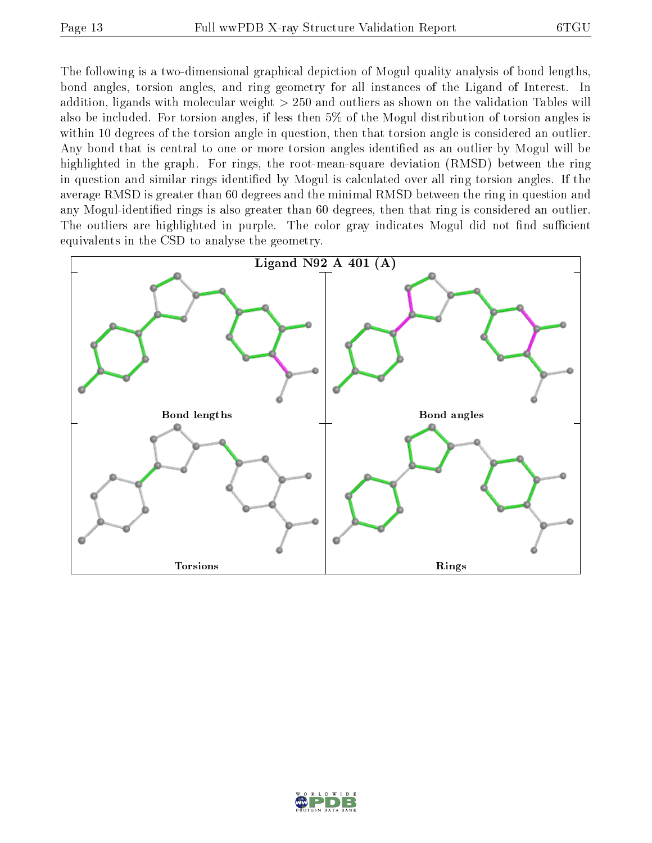The following is a two-dimensional graphical depiction of Mogul quality analysis of bond lengths, bond angles, torsion angles, and ring geometry for all instances of the Ligand of Interest. In addition, ligands with molecular weight > 250 and outliers as shown on the validation Tables will also be included. For torsion angles, if less then 5% of the Mogul distribution of torsion angles is within 10 degrees of the torsion angle in question, then that torsion angle is considered an outlier. Any bond that is central to one or more torsion angles identified as an outlier by Mogul will be highlighted in the graph. For rings, the root-mean-square deviation (RMSD) between the ring in question and similar rings identified by Mogul is calculated over all ring torsion angles. If the average RMSD is greater than 60 degrees and the minimal RMSD between the ring in question and any Mogul-identified rings is also greater than 60 degrees, then that ring is considered an outlier. The outliers are highlighted in purple. The color gray indicates Mogul did not find sufficient equivalents in the CSD to analyse the geometry.



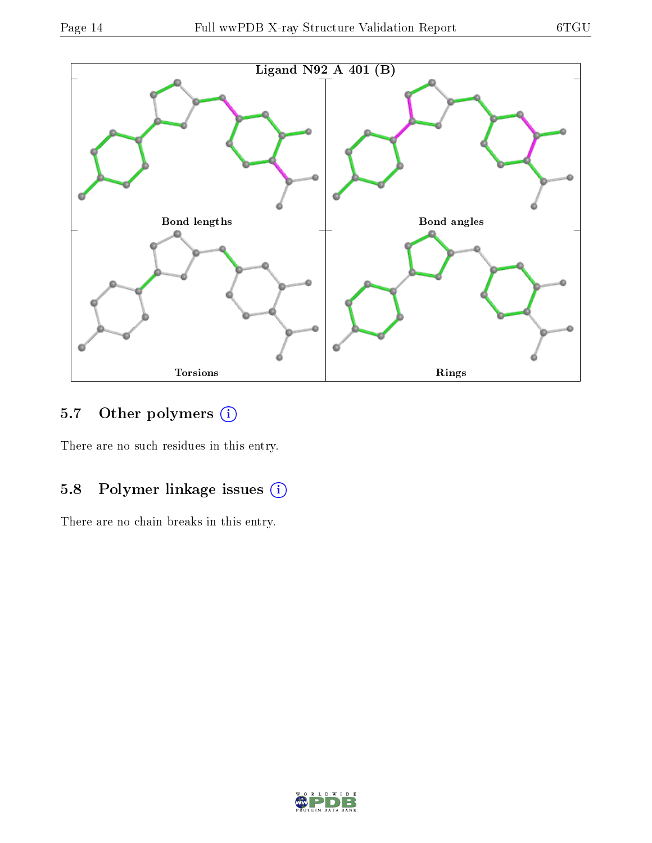

### 5.7 [O](https://www.wwpdb.org/validation/2017/XrayValidationReportHelp#nonstandard_residues_and_ligands)ther polymers (i)

There are no such residues in this entry.

## 5.8 Polymer linkage issues (i)

There are no chain breaks in this entry.

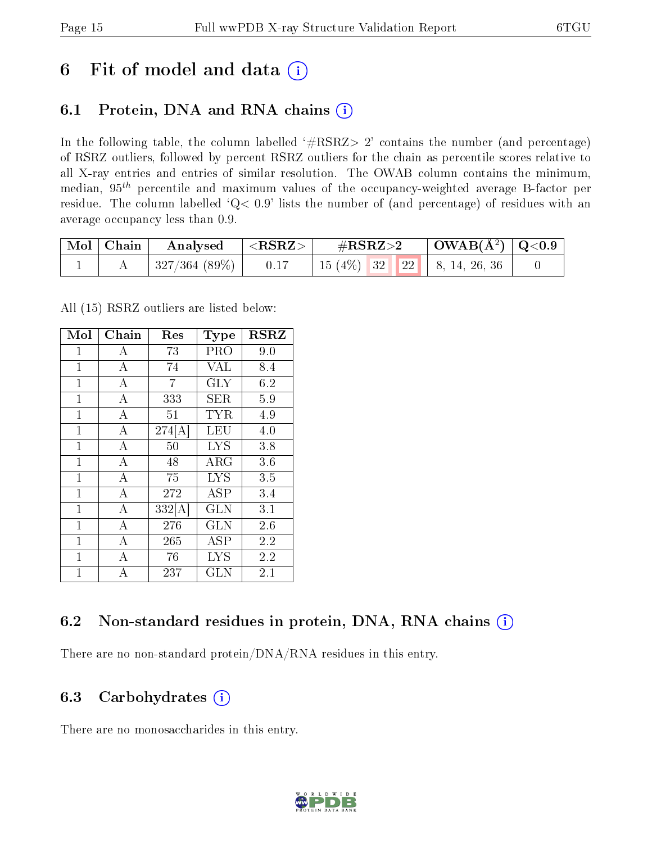### 6 Fit of model and data  $(i)$

### 6.1 Protein, DNA and RNA chains  $(i)$

In the following table, the column labelled  $#RSRZ> 2'$  contains the number (and percentage) of RSRZ outliers, followed by percent RSRZ outliers for the chain as percentile scores relative to all X-ray entries and entries of similar resolution. The OWAB column contains the minimum, median,  $95<sup>th</sup>$  percentile and maximum values of the occupancy-weighted average B-factor per residue. The column labelled ' $Q< 0.9$ ' lists the number of (and percentage) of residues with an average occupancy less than 0.9.

| $\mid$ Mol $\mid$ Chain | $\boldsymbol{\mathrm{Analysed}}$ | $ \langle \mathrm{RSRZ}\rangle $ | $\#\text{RSRZ}\text{>2}$                  | $\mid$ OWAB(Å <sup>2</sup> ) $\mid$ Q<0.9 $\mid$ |  |
|-------------------------|----------------------------------|----------------------------------|-------------------------------------------|--------------------------------------------------|--|
|                         | 327/364(89%)                     | 0.17                             | $15(4\%)$ 32 22 $\parallel$ 8, 14, 26, 36 |                                                  |  |

All (15) RSRZ outliers are listed below:

| Mol          | Chain              | Res    | <b>Type</b>             | <b>RSRZ</b> |
|--------------|--------------------|--------|-------------------------|-------------|
| 1            | А                  | 73     | PRO                     | 9.0         |
| $\mathbf{1}$ | $\bf{A}$           | 74     | <b>VAL</b>              | 8.4         |
| 1            | A                  | 7      | <b>GLY</b>              | 6.2         |
| $\mathbf{1}$ | $\bf{A}$           | 333    | <b>SER</b>              | 5.9         |
| $\mathbf{1}$ | $\overline{\rm A}$ | 51     | <b>TYR</b>              | 4.9         |
| $\mathbf{1}$ | $\boldsymbol{A}$   | 274[A] | LEU                     | 4.0         |
| $\mathbf{1}$ | $\bf{A}$           | 50     | <b>LYS</b>              | 3.8         |
| $\mathbf{1}$ | $\overline{\rm A}$ | 48     | $\rm{ARG}$              | 3.6         |
| $\mathbf{1}$ | $\overline{A}$     | 75     | <b>LYS</b>              | 3.5         |
| $\mathbf{1}$ | $\overline{\rm A}$ | 272    | <b>ASP</b>              | 3.4         |
| $\mathbf{1}$ | $\overline{A}$     | 332[A] | <b>GLN</b>              | 3.1         |
| $\mathbf{1}$ | $\overline{\rm A}$ | 276    | $\overline{\text{GLN}}$ | 2.6         |
| $\mathbf{1}$ | $\overline{A}$     | 265    | ASP                     | 2.2         |
| $\mathbf{1}$ | A                  | 76     | <b>LYS</b>              | 2.2         |
| $\mathbf{1}$ | A                  | 237    | <b>GLN</b>              | 2.1         |

### 6.2 Non-standard residues in protein, DNA, RNA chains (i)

There are no non-standard protein/DNA/RNA residues in this entry.

#### 6.3 Carbohydrates (i)

There are no monosaccharides in this entry.

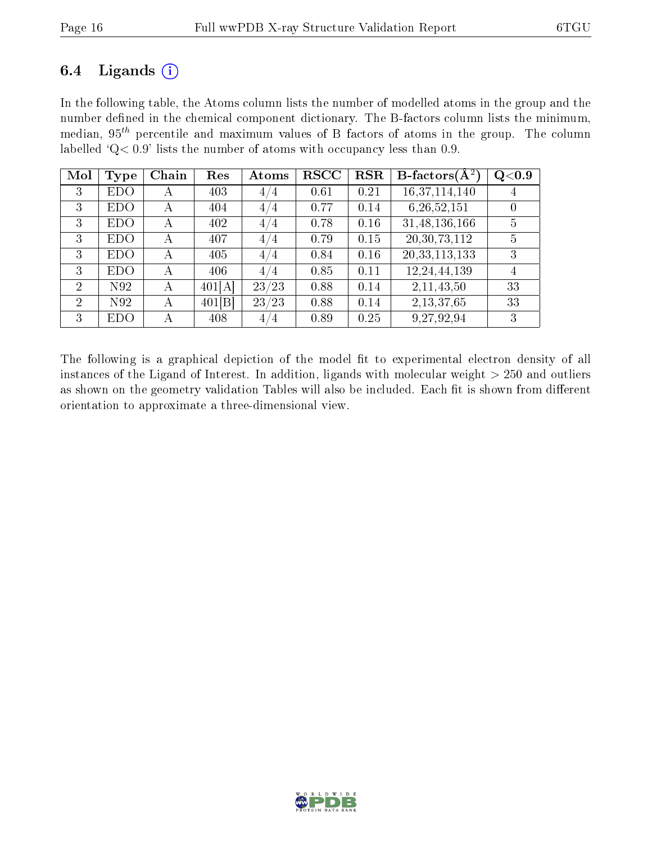### 6.4 Ligands  $(i)$

In the following table, the Atoms column lists the number of modelled atoms in the group and the number defined in the chemical component dictionary. The B-factors column lists the minimum, median,  $95<sup>th</sup>$  percentile and maximum values of B factors of atoms in the group. The column labelled ' $Q< 0.9$ ' lists the number of atoms with occupancy less than 0.9.

| Mol            | Type       | Chain | Res    | Atoms | <b>RSCC</b> | RSR  | <b>B</b> -factors $\overline{(A^2)}$ | Q <sub>0.9</sub> |
|----------------|------------|-------|--------|-------|-------------|------|--------------------------------------|------------------|
| 3              | <b>EDO</b> | А     | 403    | 4/4   | 0.61        | 0.21 | 16,37,114,140                        |                  |
| 3              | EDO        | А     | 404    | 4/4   | 0.77        | 0.14 | 6,26,52,151                          |                  |
| 3              | <b>EDO</b> | А     | 402    | 4/4   | 0.78        | 0.16 | 31,48,136,166                        | $\overline{5}$   |
| 3              | <b>EDO</b> | А     | 407    | 4/4   | 0.79        | 0.15 | 20, 30, 73, 112                      | 5                |
| 3              | EDO        | А     | 405    | 4/4   | 0.84        | 0.16 | 20, 33, 113, 133                     | 3                |
| 3              | <b>EDO</b> | А     | 406    | 4/4   | 0.85        | 0.11 | 12,24,44,139                         | 4                |
| $\overline{2}$ | N92        | А     | 401[A] | 23/23 | 0.88        | 0.14 | 2,11,43,50                           | 33               |
| $\overline{2}$ | N92        | А     | 401[B] | 23/23 | 0.88        | 0.14 | 2,13,37,65                           | 33               |
| 3              | EDO        | А     | 408    | 4/4   | 0.89        | 0.25 | 9,27,92,94                           | 3                |

The following is a graphical depiction of the model fit to experimental electron density of all instances of the Ligand of Interest. In addition, ligands with molecular weight  $> 250$  and outliers as shown on the geometry validation Tables will also be included. Each fit is shown from different orientation to approximate a three-dimensional view.

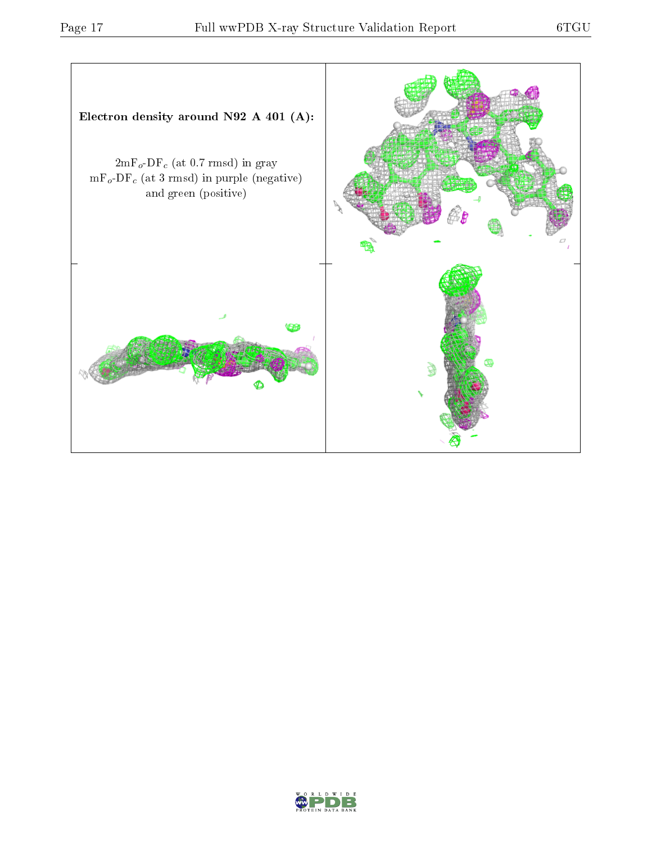